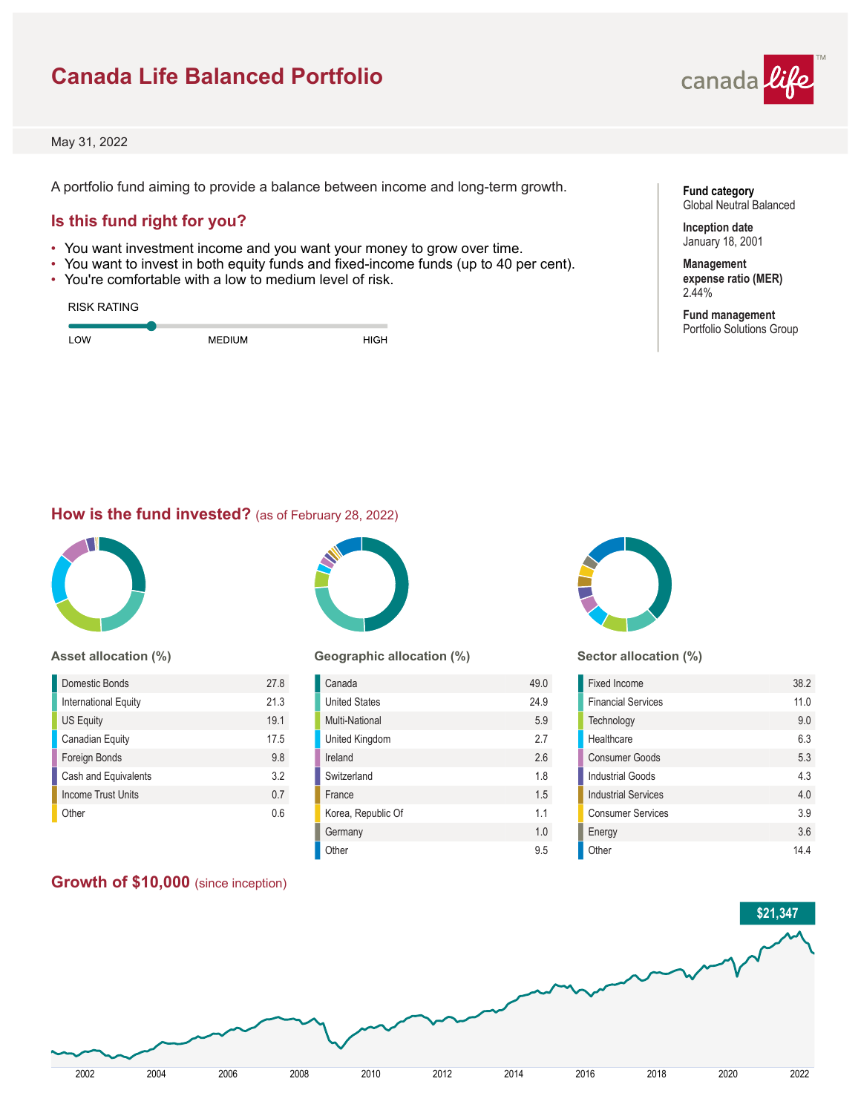### **Canada Life Balanced Portfolio**



May 31, 2022

A portfolio fund aiming to provide a balance between income and long-term growth.

### **Is this fund right for you?**

- You want investment income and you want your money to grow over time.
- You want to invest in both equity funds and fixed-income funds (up to 40 per cent).
- You're comfortable with a low to medium level of risk.

| <b>RISK RATING</b> |               |             |
|--------------------|---------------|-------------|
| LOW                | <b>MEDIUM</b> | <b>HIGH</b> |

**Fund category** Global Neutral Balanced

**Inception date** January 18, 2001

**Management expense ratio (MER)** 2.44%

**Fund management** Portfolio Solutions Group

### **How is the fund invested?** (as of February 28, 2022)



#### **Asset allocation (%)**

| Domestic Bonds       | 27.8 |
|----------------------|------|
| International Equity | 21.3 |
| <b>US Equity</b>     | 19.1 |
| Canadian Equity      | 17.5 |
| Foreign Bonds        | 9.8  |
| Cash and Equivalents | 3.2  |
| Income Trust Units   | 0.7  |
| Other                | በ 6  |

### **Geographic allocation (%)**

| Canada               | 49.0 |
|----------------------|------|
| <b>United States</b> | 24.9 |
| Multi-National       | 5.9  |
| United Kingdom       | 27   |
| Ireland              | 26   |
| Switzerland          | 1.8  |
| France               | 1.5  |
| Korea, Republic Of   | 11   |
| Germany              | 1.0  |
| Other                | 95   |



#### **Sector allocation (%)**

| Fixed Income               | 38.2 |
|----------------------------|------|
| <b>Financial Services</b>  | 11.0 |
| Technology                 | 9.0  |
| Healthcare                 | 6.3  |
| <b>Consumer Goods</b>      | 5.3  |
| <b>Industrial Goods</b>    | 43   |
| <b>Industrial Services</b> | 40   |
| <b>Consumer Services</b>   | 3.9  |
| Energy                     | 3.6  |
| Other                      | 144  |

### **Growth of \$10,000** (since inception)